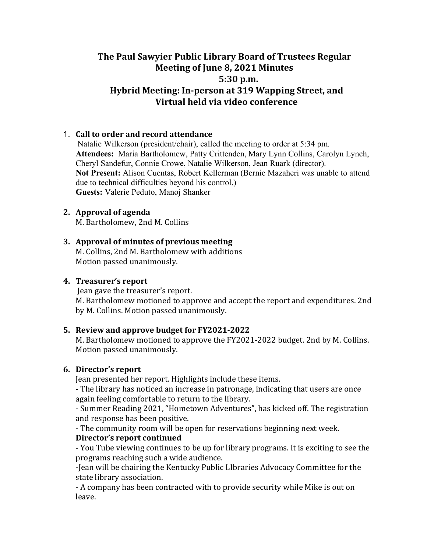# The Paul Sawyier Public Library Board of Trustees Regular **Meeting of June 8, 2021 Minutes 5:30 p.m.**  Hybrid Meeting: In-person at 319 Wapping Street, and **Virtual held via video conference**

# 1. **Call to order and record attendance**

Natalie Wilkerson (president/chair), called the meeting to order at 5:34 pm. **Attendees:** Maria Bartholomew, Patty Crittenden, Mary Lynn Collins, Carolyn Lynch, Cheryl Sandefur, Connie Crowe, Natalie Wilkerson, Jean Ruark (director). **Not Present:** Alison Cuentas, Robert Kellerman (Bernie Mazaheri was unable to attend due to technical difficulties beyond his control.) **Guests:** Valerie Peduto, Manoj Shanker

### **2.** Approval of agenda

M. Bartholomew, 2nd M. Collins

### **3. Approval of minutes of previous meeting**

M. Collins, 2nd M. Bartholomew with additions Motion passed unanimously.

### **4.** Treasurer's report

Jean gave the treasurer's report. M. Bartholomew motioned to approve and accept the report and expenditures. 2nd by M. Collins. Motion passed unanimously.

#### **5.** Review and approve budget for FY2021-2022

M. Bartholomew motioned to approve the FY2021-2022 budget. 2nd by M. Collins. Motion passed unanimously.

### **6.** Director's report

Jean presented her report. Highlights include these items.

- The library has noticed an increase in patronage, indicating that users are once again feeling comfortable to return to the library.

- Summer Reading 2021, "Hometown Adventures", has kicked off. The registration and response has been positive.

- The community room will be open for reservations beginning next week.

# **Director's report continued**

- You Tube viewing continues to be up for library programs. It is exciting to see the programs reaching such a wide audience.

-Jean will be chairing the Kentucky Public LIbraries Advocacy Committee for the state library association.

- A company has been contracted with to provide security while Mike is out on leave.